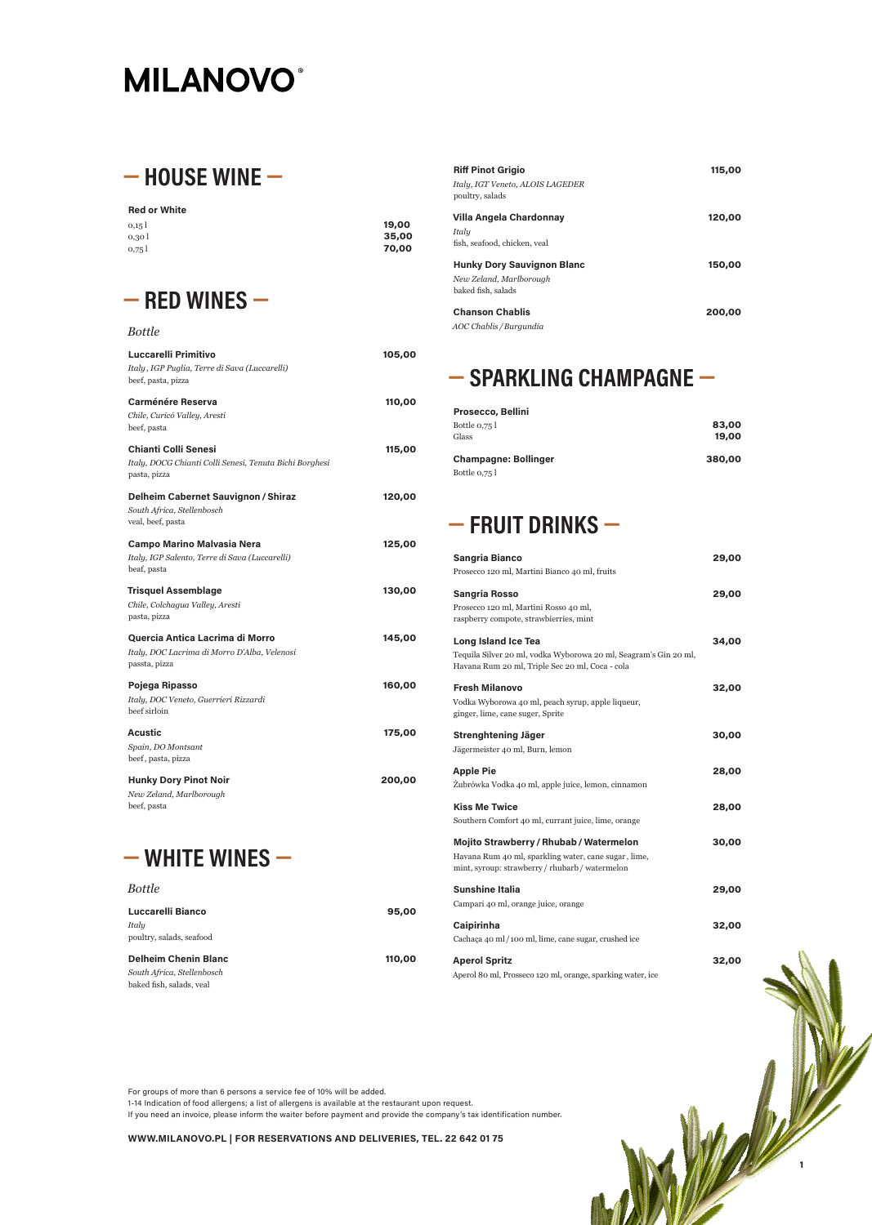For groups of more than 6 persons a service fee of 10% will be added.

1-14 Indication of food allergens; a list of allergens is available at the restaurant upon request.

If you need an invoice, please inform the waiter before payment and provide the company's tax identification number.

#### **WWW.MILANOVO.PL | FOR RESERVATIONS AND DELIVERIES, TEL. 22 642 01 75**

# **MILANOVO®**

# **— HOUSE WINE —**

#### **Red or White**

| 0,15   | 19,00 |
|--------|-------|
| 0,30 l | 35,00 |
| 0,75   | 70,00 |

### **— RED WINES —**

#### *Bottle*

| <b>Luccarelli Primitivo</b>                             | 105,00 |
|---------------------------------------------------------|--------|
| Italy, IGP Puglia, Terre di Sava (Luccarelli)           |        |
| beef, pasta, pizza                                      |        |
|                                                         |        |
| <b>Carménére Reserva</b>                                | 110,00 |
| Chile, Curicó Valley, Aresti                            |        |
| beef, pasta                                             |        |
| Chianti Colli Senesi                                    | 115,00 |
| Italy, DOCG Chianti Colli Senesi, Tenuta Bichi Borghesi |        |
| pasta, pizza                                            |        |
|                                                         |        |
| Delheim Cabernet Sauvignon / Shiraz                     | 120,00 |
| South Africa, Stellenbosch                              |        |
| veal, beef, pasta                                       |        |
| <b>Campo Marino Malvasia Nera</b>                       | 125,00 |
| Italy, IGP Salento, Terre di Sava (Luccarelli)          |        |
| beaf, pasta                                             |        |
| <b>Trisquel Assemblage</b>                              | 130,00 |
| Chile, Colchagua Valley, Aresti                         |        |
| pasta, pizza                                            |        |
|                                                         |        |
| Quercia Antica Lacrima di Morro                         | 145,00 |
| Italy, DOC Lacrima di Morro D'Alba, Velenosi            |        |
| passta, pizza                                           |        |
|                                                         |        |
| Pojega Ripasso                                          | 160,00 |
| Italy, DOC Veneto, Guerrieri Rizzardi                   |        |
| beef sirloin                                            |        |
| Acustic                                                 | 175,00 |
| Spain, DO Montsant                                      |        |
| beef, pasta, pizza                                      |        |
| <b>Hunky Dory Pinot Noir</b>                            | 200,00 |
| New Zeland, Marlborough                                 |        |
| beef, pasta                                             |        |



*Bottle*

#### **Luccarelli Bianco 95,00**

*Italy* poultry, salads, seafood

#### **Delheim Chenin Blanc 110,00**

*South Africa, Stellenbosch* baked fish, salads, veal

| <b>Riff Pinot Grigio</b><br>Italy, IGT Veneto, ALOIS LAGEDER<br>poultry, salads    | 115,00 |
|------------------------------------------------------------------------------------|--------|
| Villa Angela Chardonnay<br>Italy<br>fish, seafood, chicken, veal                   | 120,00 |
| <b>Hunky Dory Sauvignon Blanc</b><br>New Zeland, Marlborough<br>baked fish, salads | 150,00 |
| <b>Chanson Chablis</b><br>AOC Chablis / Burgundia                                  | 200,00 |



# **— SPARKLING CHAMPAGNE —**

| <b>Prosecco, Bellini</b>    |        |
|-----------------------------|--------|
| Bottle 0,75 l               | 83,00  |
| Glass                       | 19,00  |
| <b>Champagne: Bollinger</b> | 380,00 |
| Bottle 0,75 l               |        |

# **— FRUIT DRINKS —**

| <b>Sangria Bianco</b><br>Prosecco 120 ml, Martini Bianco 40 ml, fruits                                                                                | 29,00 |
|-------------------------------------------------------------------------------------------------------------------------------------------------------|-------|
| <b>Sangria Rosso</b><br>Prosecco 120 ml, Martini Rosso 40 ml,<br>raspberry compote, strawbierries, mint                                               | 29,00 |
| Long Island Ice Tea<br>Tequila Silver 20 ml, vodka Wyborowa 20 ml, Seagram's Gin 20 ml,<br>Havana Rum 20 ml, Triple Sec 20 ml, Coca - cola            | 34,00 |
| <b>Fresh Milanovo</b><br>Vodka Wyborowa 40 ml, peach syrup, apple liqueur,<br>ginger, lime, cane suger, Sprite                                        | 32,00 |
| Strenghtening Jäger<br>Jägermeister 40 ml, Burn, lemon                                                                                                | 30,00 |
| <b>Apple Pie</b><br>Zubrówka Vodka 40 ml, apple juice, lemon, cinnamon                                                                                | 28,00 |
| <b>Kiss Me Twice</b><br>Southern Comfort 40 ml, currant juice, lime, orange                                                                           | 28,00 |
| <b>Mojito Strawberry / Rhubab / Watermelon</b><br>Havana Rum 40 ml, sparkling water, cane sugar, lime,<br>mint, syroup: strawberry/rhubarb/watermelon | 30,00 |
| <b>Sunshine Italia</b>                                                                                                                                | 29,00 |

Campari 40 ml, orange juice, orange

#### **Caipirinha 32,00**

Cachaҫa 40 ml/100 ml, lime, cane sugar, crushed ice